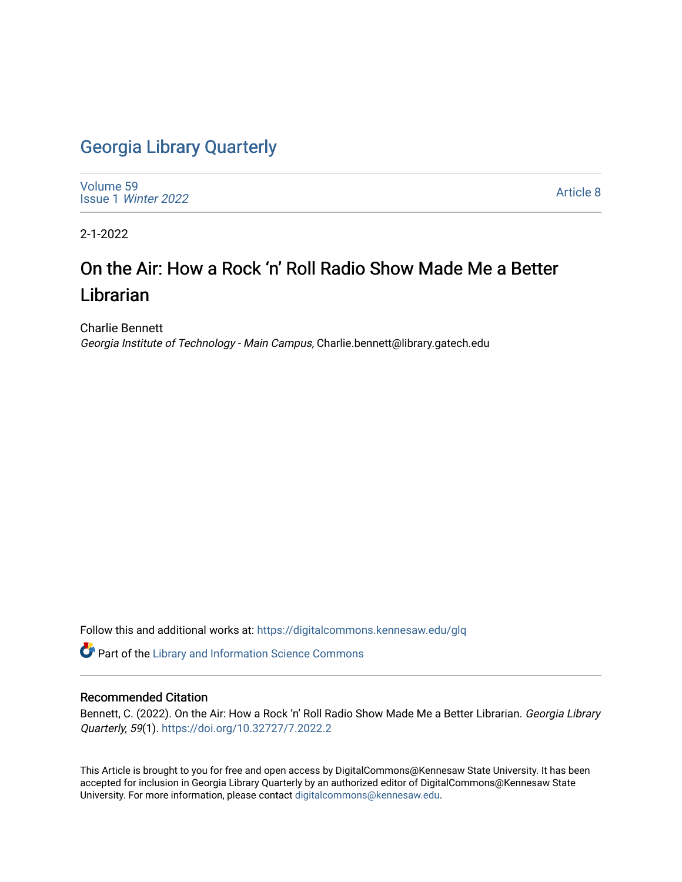### [Georgia Library Quarterly](https://digitalcommons.kennesaw.edu/glq)

[Volume 59](https://digitalcommons.kennesaw.edu/glq/vol59) Issue 1 [Winter 2022](https://digitalcommons.kennesaw.edu/glq/vol59/iss1) 

[Article 8](https://digitalcommons.kennesaw.edu/glq/vol59/iss1/8) 

2-1-2022

## On the Air: How a Rock 'n' Roll Radio Show Made Me a Better **Librarian**

Charlie Bennett Georgia Institute of Technology - Main Campus, Charlie.bennett@library.gatech.edu

Follow this and additional works at: [https://digitalcommons.kennesaw.edu/glq](https://digitalcommons.kennesaw.edu/glq?utm_source=digitalcommons.kennesaw.edu%2Fglq%2Fvol59%2Fiss1%2F8&utm_medium=PDF&utm_campaign=PDFCoverPages) 

Part of the [Library and Information Science Commons](http://network.bepress.com/hgg/discipline/1018?utm_source=digitalcommons.kennesaw.edu%2Fglq%2Fvol59%2Fiss1%2F8&utm_medium=PDF&utm_campaign=PDFCoverPages) 

#### Recommended Citation

Bennett, C. (2022). On the Air: How a Rock 'n' Roll Radio Show Made Me a Better Librarian. Georgia Library Quarterly, 59(1).<https://doi.org/10.32727/7.2022.2>

This Article is brought to you for free and open access by DigitalCommons@Kennesaw State University. It has been accepted for inclusion in Georgia Library Quarterly by an authorized editor of DigitalCommons@Kennesaw State University. For more information, please contact [digitalcommons@kennesaw.edu.](mailto:digitalcommons@kennesaw.edu)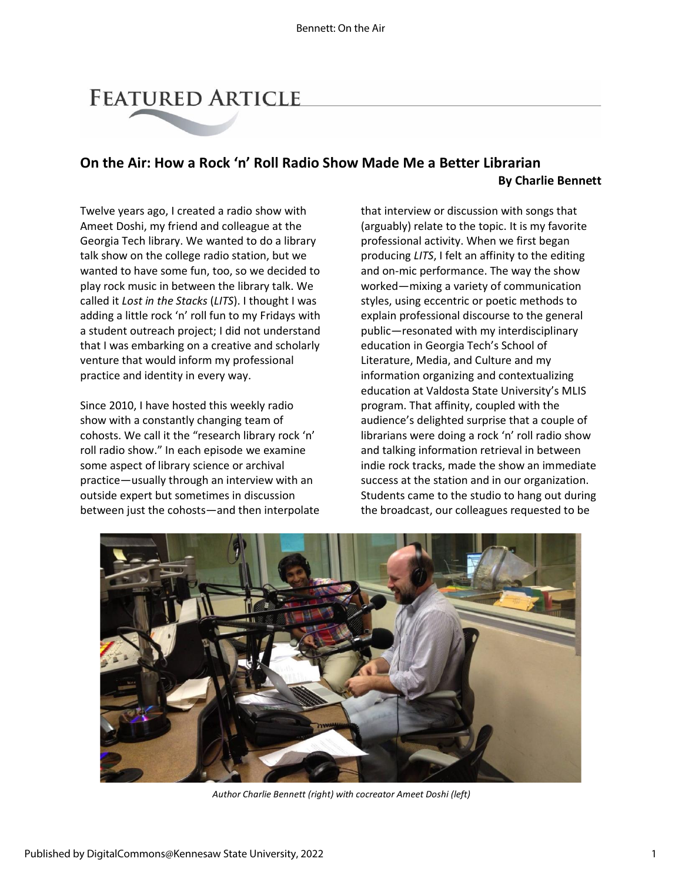# **FEATURED ARTICLE**

### **On the Air: How a Rock 'n' Roll Radio Show Made Me a Better Librarian By Charlie Bennett**

Twelve years ago, I created a radio show with Ameet Doshi, my friend and colleague at the Georgia Tech library. We wanted to do a library talk show on the college radio station, but we wanted to have some fun, too, so we decided to play rock music in between the library talk. We called it *Lost in the Stacks* (*LITS*). I thought I was adding a little rock 'n' roll fun to my Fridays with a student outreach project; I did not understand that I was embarking on a creative and scholarly venture that would inform my professional practice and identity in every way.

Since 2010, I have hosted this weekly radio show with a constantly changing team of cohosts. We call it the "research library rock 'n' roll radio show." In each episode we examine some aspect of library science or archival practice—usually through an interview with an outside expert but sometimes in discussion between just the cohosts—and then interpolate that interview or discussion with songs that (arguably) relate to the topic. It is my favorite professional activity. When we first began producing *LITS*, I felt an affinity to the editing and on-mic performance. The way the show worked—mixing a variety of communication styles, using eccentric or poetic methods to explain professional discourse to the general public—resonated with my interdisciplinary education in Georgia Tech's School of Literature, Media, and Culture and my information organizing and contextualizing education at Valdosta State University's MLIS program. That affinity, coupled with the audience's delighted surprise that a couple of librarians were doing a rock 'n' roll radio show and talking information retrieval in between indie rock tracks, made the show an immediate success at the station and in our organization. Students came to the studio to hang out during the broadcast, our colleagues requested to be



*Author Charlie Bennett (right) with cocreator Ameet Doshi (left)*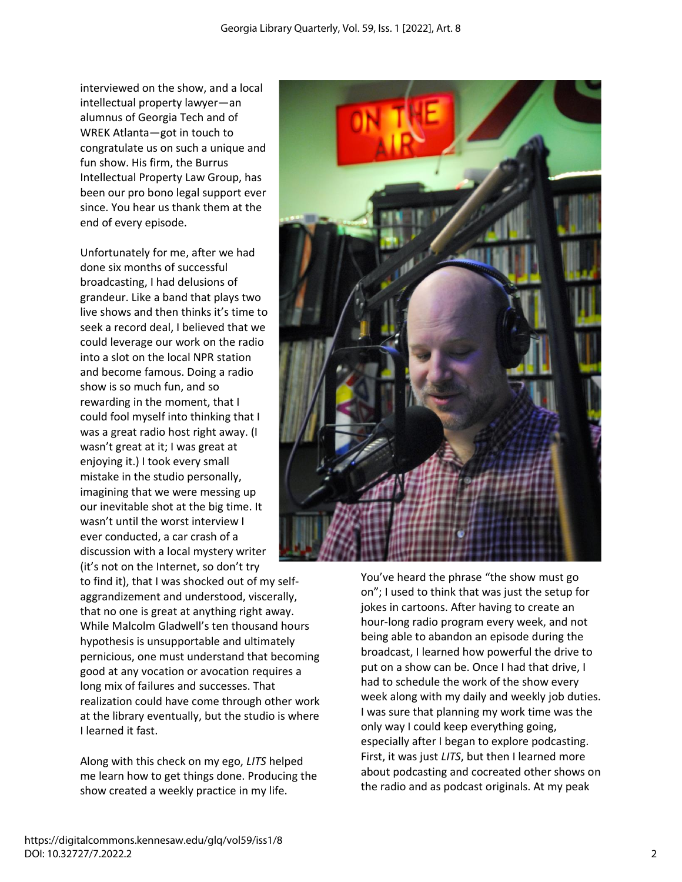interviewed on the show, and a local intellectual property lawyer—an alumnus of Georgia Tech and of WREK Atlanta—got in touch to congratulate us on such a unique and fun show. His firm, the Burrus Intellectual Property Law Group, has been our pro bono legal support ever since. You hear us thank them at the end of every episode.

Unfortunately for me, after we had done six months of successful broadcasting, I had delusions of grandeur. Like a band that plays two live shows and then thinks it's time to seek a record deal, I believed that we could leverage our work on the radio into a slot on the local NPR station and become famous. Doing a radio show is so much fun, and so rewarding in the moment, that I could fool myself into thinking that I was a great radio host right away. (I wasn't great at it; I was great at enjoying it.) I took every small mistake in the studio personally, imagining that we were messing up our inevitable shot at the big time. It wasn't until the worst interview I ever conducted, a car crash of a discussion with a local mystery writer (it's not on the Internet, so don't try

to find it), that I was shocked out of my selfaggrandizement and understood, viscerally, that no one is great at anything right away. While Malcolm Gladwell's ten thousand hours hypothesis is unsupportable and ultimately pernicious, one must understand that becoming good at any vocation or avocation requires a long mix of failures and successes. That realization could have come through other work at the library eventually, but the studio is where I learned it fast.

Along with this check on my ego, *LITS* helped me learn how to get things done. Producing the show created a weekly practice in my life.



You've heard the phrase "the show must go on"; I used to think that was just the setup for jokes in cartoons. After having to create an hour-long radio program every week, and not being able to abandon an episode during the broadcast, I learned how powerful the drive to put on a show can be. Once I had that drive, I had to schedule the work of the show every week along with my daily and weekly job duties. I was sure that planning my work time was the only way I could keep everything going, especially after I began to explore podcasting. First, it was just *LITS*, but then I learned more about podcasting and cocreated other shows on the radio and as podcast originals. At my peak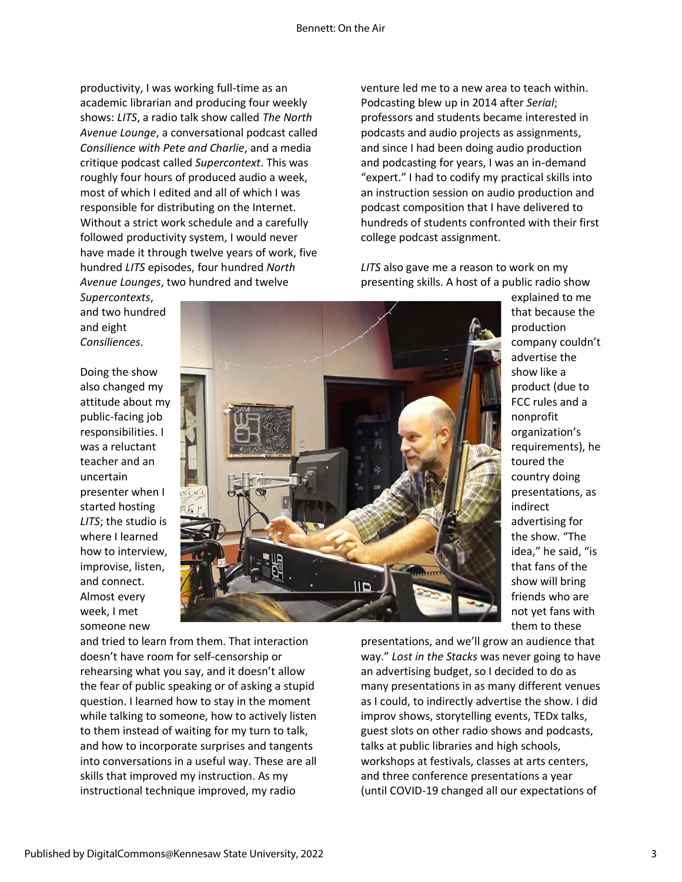productivity, I was working full-time as an academic librarian and producing four weekly shows: *LITS*, a radio talk show called *The North Avenue Lounge*, a conversational podcast called *Consilience with Pete and Charlie*, and a media critique podcast called *Supercontext*. This was roughly four hours of produced audio a week, most of which I edited and all of which I was responsible for distributing on the Internet. Without a strict work schedule and a carefully followed productivity system, I would never have made it through twelve years of work, five hundred *LITS* episodes, four hundred *North Avenue Lounges*, two hundred and twelve

*Supercontexts*, and two hundred and eight *Consiliences*.

Doing the show also changed my attitude about my public-facing job responsibilities. I was a reluctant teacher and an uncertain presenter when I started hosting *LITS*; the studio is where I learned how to interview, improvise, listen, and connect. Almost every week, I met someone new



and tried to learn from them. That interaction doesn't have room for self-censorship or rehearsing what you say, and it doesn't allow the fear of public speaking or of asking a stupid question. I learned how to stay in the moment while talking to someone, how to actively listen to them instead of waiting for my turn to talk, and how to incorporate surprises and tangents into conversations in a useful way. These are all skills that improved my instruction. As my instructional technique improved, my radio

venture led me to a new area to teach within. Podcasting blew up in 2014 after *Serial*; professors and students became interested in podcasts and audio projects as assignments, and since I had been doing audio production and podcasting for years, I was an in-demand "expert." I had to codify my practical skills into an instruction session on audio production and podcast composition that I have delivered to hundreds of students confronted with their first college podcast assignment.

*LITS* also gave me a reason to work on my presenting skills. A host of a public radio show

> that because the production company couldn't advertise the show like a product (due to FCC rules and a nonprofit organization's requirements), he toured the country doing presentations, as indirect advertising for the show. "The idea," he said, "is that fans of the show will bring friends who are not yet fans with them to these

explained to me

presentations, and we'll grow an audience that way." *Lost in the Stacks* was never going to have an advertising budget, so I decided to do as many presentations in as many different venues as I could, to indirectly advertise the show. I did improv shows, storytelling events, TEDx talks, guest slots on other radio shows and podcasts, talks at public libraries and high schools, workshops at festivals, classes at arts centers, and three conference presentations a year (until COVID-19 changed all our expectations of